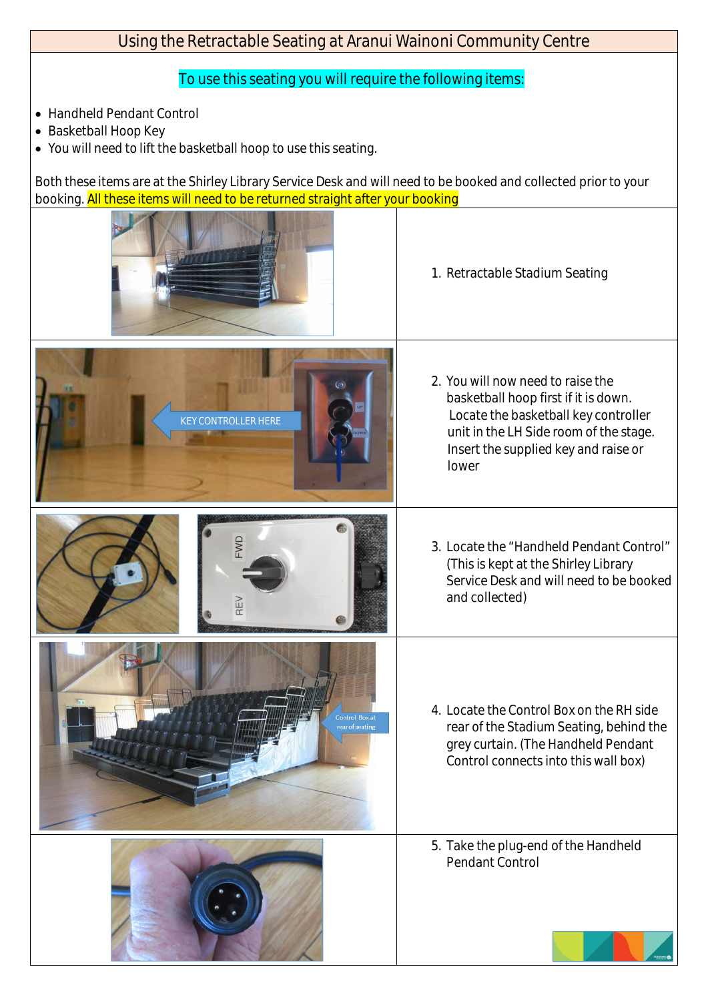## Using the Retractable Seating at Aranui Wainoni Community Centre

## To use this seating you will require the following items:

- · Handheld Pendant Control
- · Basketball Hoop Key
- · You will need to lift the basketball hoop to use this seating.

Both these items are at the Shirley Library Service Desk and will need to be booked and collected prior to your booking. All these items will need to be returned straight after your booking

> Control Box at ar of seating



1. Retractable Stadium Seating

2. You will now need to raise the basketball hoop first if it is down. Locate the basketball key controller unit in the LH Side room of the stage. Insert the supplied key and raise or lower



4. Locate the Control Box on the RH side rear of the Stadium Seating, behind the grey curtain. (The Handheld Pendant



## Control connects into this wall box)

## 5. Take the plug-end of the Handheld Pendant Control





OW<sub>=</sub>

REV